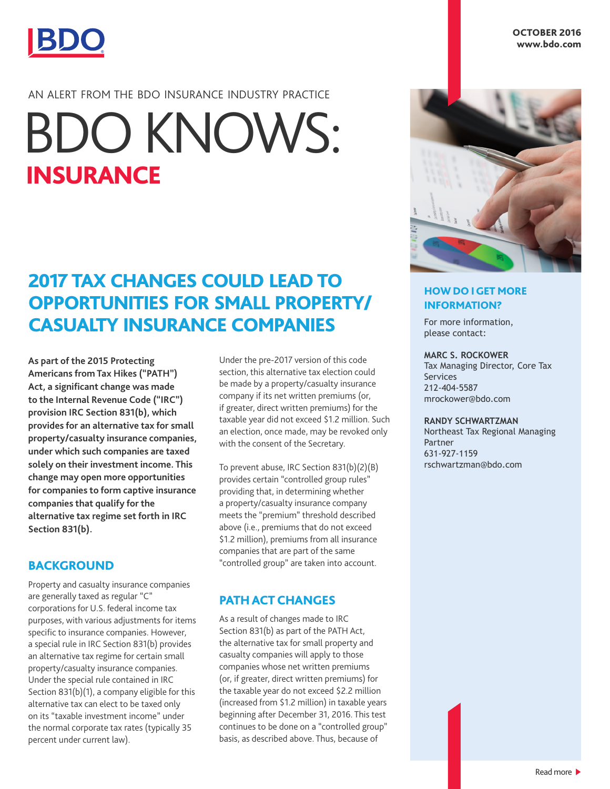

# AN ALERT FROM THE BDO INSURANCE INDUSTRY PRACTICE

# INSURANCE BDO KNOWS:

# 2017 TAX CHANGES COULD LEAD TO OPPORTUNITIES FOR SMALL PROPERTY/ CASUALTY INSURANCE COMPANIES

**As part of the 2015 Protecting Americans from Tax Hikes ("PATH") Act, a significant change was made to the Internal Revenue Code ("IRC") provision IRC Section 831(b), which provides for an alternative tax for small property/casualty insurance companies, under which such companies are taxed solely on their investment income. This change may open more opportunities for companies to form captive insurance companies that qualify for the alternative tax regime set forth in IRC Section 831(b).**

### BACKGROUND

Property and casualty insurance companies are generally taxed as regular "C" corporations for U.S. federal income tax purposes, with various adjustments for items specific to insurance companies. However, a special rule in IRC Section 831(b) provides an alternative tax regime for certain small property/casualty insurance companies. Under the special rule contained in IRC Section 831(b)(1), a company eligible for this alternative tax can elect to be taxed only on its "taxable investment income" under the normal corporate tax rates (typically 35 percent under current law).

Under the pre-2017 version of this code section, this alternative tax election could be made by a property/casualty insurance company if its net written premiums (or, if greater, direct written premiums) for the taxable year did not exceed \$1.2 million. Such an election, once made, may be revoked only with the consent of the Secretary.

To prevent abuse, IRC Section 831(b)(2)(B) provides certain "controlled group rules" providing that, in determining whether a property/casualty insurance company meets the "premium" threshold described above (i.e., premiums that do not exceed \$1.2 million), premiums from all insurance companies that are part of the same "controlled group" are taken into account.

# PATH ACT CHANGES

As a result of changes made to IRC Section 831(b) as part of the PATH Act, the alternative tax for small property and casualty companies will apply to those companies whose net written premiums (or, if greater, direct written premiums) for the taxable year do not exceed \$2.2 million (increased from \$1.2 million) in taxable years beginning after December 31, 2016. This test continues to be done on a "controlled group" basis, as described above. Thus, because of



### HOW DO I GET MORE INFORMATION?

For more information, please contact:

#### **MARC S. ROCKOWER**

Tax Managing Director, Core Tax Services 212-404-5587 mrockower@bdo.com

#### **RANDY SCHWARTZMAN**

Northeast Tax Regional Managing Partner 631-927-1159 rschwartzman@bdo.com